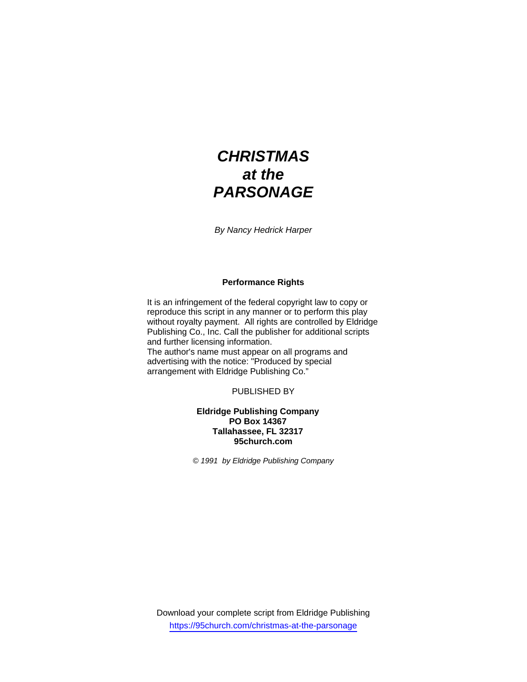# *CHRISTMAS at the PARSONAGE*

*By Nancy Hedrick Harper* 

## **Performance Rights**

It is an infringement of the federal copyright law to copy or reproduce this script in any manner or to perform this play without royalty payment. All rights are controlled by Eldridge Publishing Co., Inc. Call the publisher for additional scripts and further licensing information. The author's name must appear on all programs and advertising with the notice: "Produced by special arrangement with Eldridge Publishing Co."

PUBLISHED BY

## **Eldridge Publishing Company PO Box 14367 Tallahassee, FL 32317 95church.com**

*© 1991 by Eldridge Publishing Company* 

Download your complete script from Eldridge Publishing https://95church.com/christmas-at-the-parsonage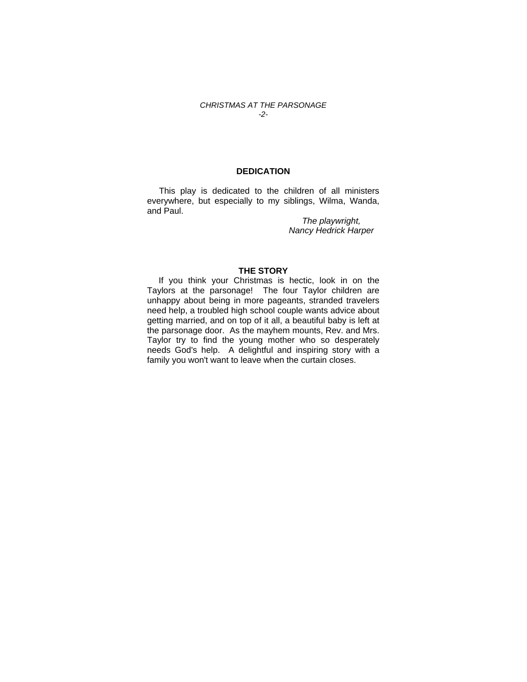### *CHRISTMAS AT THE PARSONAGE -2-*

## **DEDICATION**

 This play is dedicated to the children of all ministers everywhere, but especially to my siblings, Wilma, Wanda, and Paul.

> *The playwright, Nancy Hedrick Harper*

## **THE STORY**

If you think your Christmas is hectic, look in on the Taylors at the parsonage! The four Taylor children are unhappy about being in more pageants, stranded travelers need help, a troubled high school couple wants advice about getting married, and on top of it all, a beautiful baby is left at the parsonage door. As the mayhem mounts, Rev. and Mrs. Taylor try to find the young mother who so desperately needs God's help. A delightful and inspiring story with a family you won't want to leave when the curtain closes.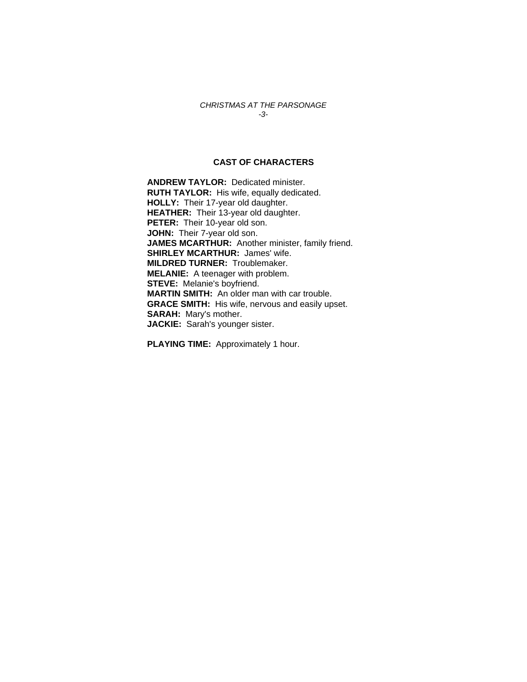## *CHRISTMAS AT THE PARSONAGE -3-*

## **CAST OF CHARACTERS**

**ANDREW TAYLOR:** Dedicated minister. **RUTH TAYLOR:** His wife, equally dedicated. **HOLLY:** Their 17-year old daughter. **HEATHER:** Their 13-year old daughter. **PETER:** Their 10-year old son. **JOHN:** Their 7-year old son. **JAMES MCARTHUR:** Another minister, family friend. **SHIRLEY MCARTHUR:** James' wife. **MILDRED TURNER:** Troublemaker. **MELANIE:** A teenager with problem. **STEVE:** Melanie's boyfriend. **MARTIN SMITH:** An older man with car trouble. **GRACE SMITH:** His wife, nervous and easily upset. **SARAH:** Mary's mother. **JACKIE:** Sarah's younger sister.

**PLAYING TIME:** Approximately 1 hour.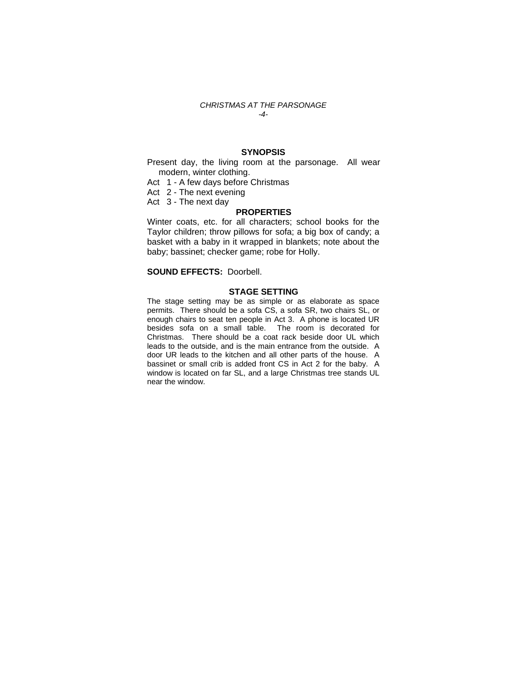#### *CHRISTMAS AT THE PARSONAGE -4-*

## **SYNOPSIS**

Present day, the living room at the parsonage. All wear modern, winter clothing.

- Act 1 A few days before Christmas
- Act 2 The next evening
- Act 3 The next day

## **PROPERTIES**

Winter coats, etc. for all characters; school books for the Taylor children; throw pillows for sofa; a big box of candy; a basket with a baby in it wrapped in blankets; note about the baby; bassinet; checker game; robe for Holly.

## **SOUND EFFECTS:** Doorbell.

## **STAGE SETTING**

The stage setting may be as simple or as elaborate as space permits. There should be a sofa CS, a sofa SR, two chairs SL, or enough chairs to seat ten people in Act 3. A phone is located UR besides sofa on a small table. The room is decorated for Christmas. There should be a coat rack beside door UL which leads to the outside, and is the main entrance from the outside. A door UR leads to the kitchen and all other parts of the house. A bassinet or small crib is added front CS in Act 2 for the baby. A window is located on far SL, and a large Christmas tree stands UL near the window.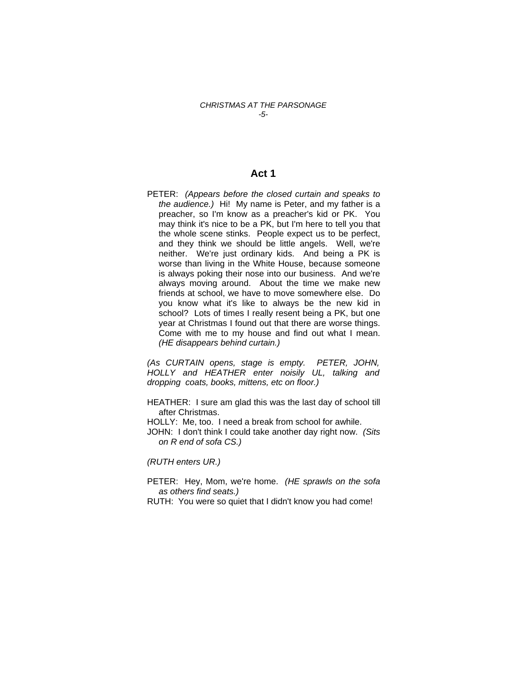## *CHRISTMAS AT THE PARSONAGE -5-*

## **Act 1**

PETER: *(Appears before the closed curtain and speaks to the audience.)* Hi! My name is Peter, and my father is a preacher, so I'm know as a preacher's kid or PK. You may think it's nice to be a PK, but I'm here to tell you that the whole scene stinks. People expect us to be perfect, and they think we should be little angels. Well, we're neither. We're just ordinary kids. And being a PK is worse than living in the White House, because someone is always poking their nose into our business. And we're always moving around. About the time we make new friends at school, we have to move somewhere else. Do you know what it's like to always be the new kid in school? Lots of times I really resent being a PK, but one year at Christmas I found out that there are worse things. Come with me to my house and find out what I mean. *(HE disappears behind curtain.)* 

*(As CURTAIN opens, stage is empty. PETER, JOHN, HOLLY and HEATHER enter noisily UL, talking and dropping coats, books, mittens, etc on floor.)* 

- HEATHER: I sure am glad this was the last day of school till after Christmas.
- HOLLY: Me, too. I need a break from school for awhile.
- JOHN: I don't think I could take another day right now. *(Sits on R end of sofa CS.)*

*(RUTH enters UR.)* 

- PETER: Hey, Mom, we're home. *(HE sprawls on the sofa as others find seats.)*
- RUTH: You were so quiet that I didn't know you had come!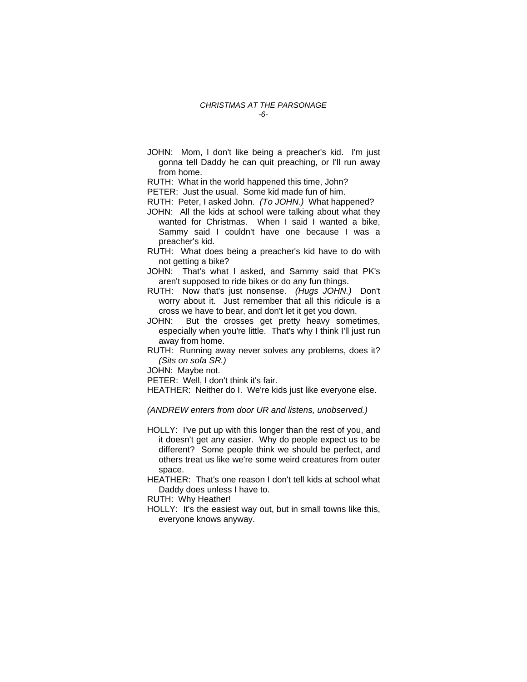JOHN: Mom, I don't like being a preacher's kid. I'm just gonna tell Daddy he can quit preaching, or I'll run away from home.

RUTH: What in the world happened this time, John?

PETER: Just the usual. Some kid made fun of him.

RUTH: Peter, I asked John. *(To JOHN.)* What happened?

- JOHN: All the kids at school were talking about what they wanted for Christmas. When I said I wanted a bike, Sammy said I couldn't have one because I was a preacher's kid.
- RUTH: What does being a preacher's kid have to do with not getting a bike?
- JOHN: That's what I asked, and Sammy said that PK's aren't supposed to ride bikes or do any fun things.
- RUTH: Now that's just nonsense. *(Hugs JOHN.)* Don't worry about it. Just remember that all this ridicule is a cross we have to bear, and don't let it get you down.
- JOHN: But the crosses get pretty heavy sometimes, especially when you're little. That's why I think I'll just run away from home.
- RUTH: Running away never solves any problems, does it? *(Sits on sofa SR.)*

JOHN: Maybe not.

PETER: Well, I don't think it's fair.

HEATHER: Neither do I. We're kids just like everyone else.

*(ANDREW enters from door UR and listens, unobserved.)* 

- HOLLY: I've put up with this longer than the rest of you, and it doesn't get any easier. Why do people expect us to be different? Some people think we should be perfect, and others treat us like we're some weird creatures from outer space.
- HEATHER: That's one reason I don't tell kids at school what Daddy does unless I have to.

RUTH: Why Heather!

HOLLY: It's the easiest way out, but in small towns like this, everyone knows anyway.